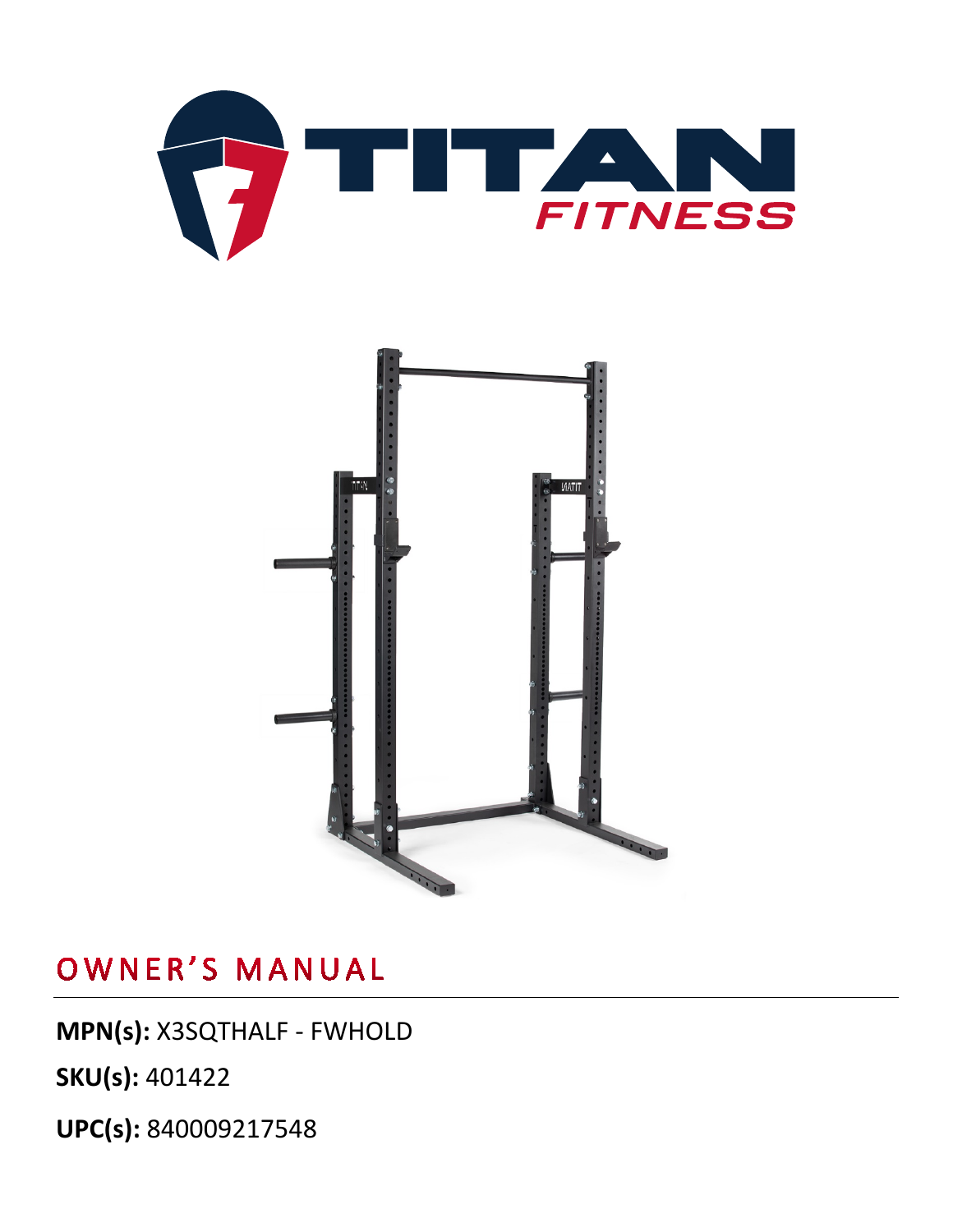



**MPN(s):** X3SQTHALF - FWHOLD

**SKU(s):** 401422

**UPC(s):** 840009217548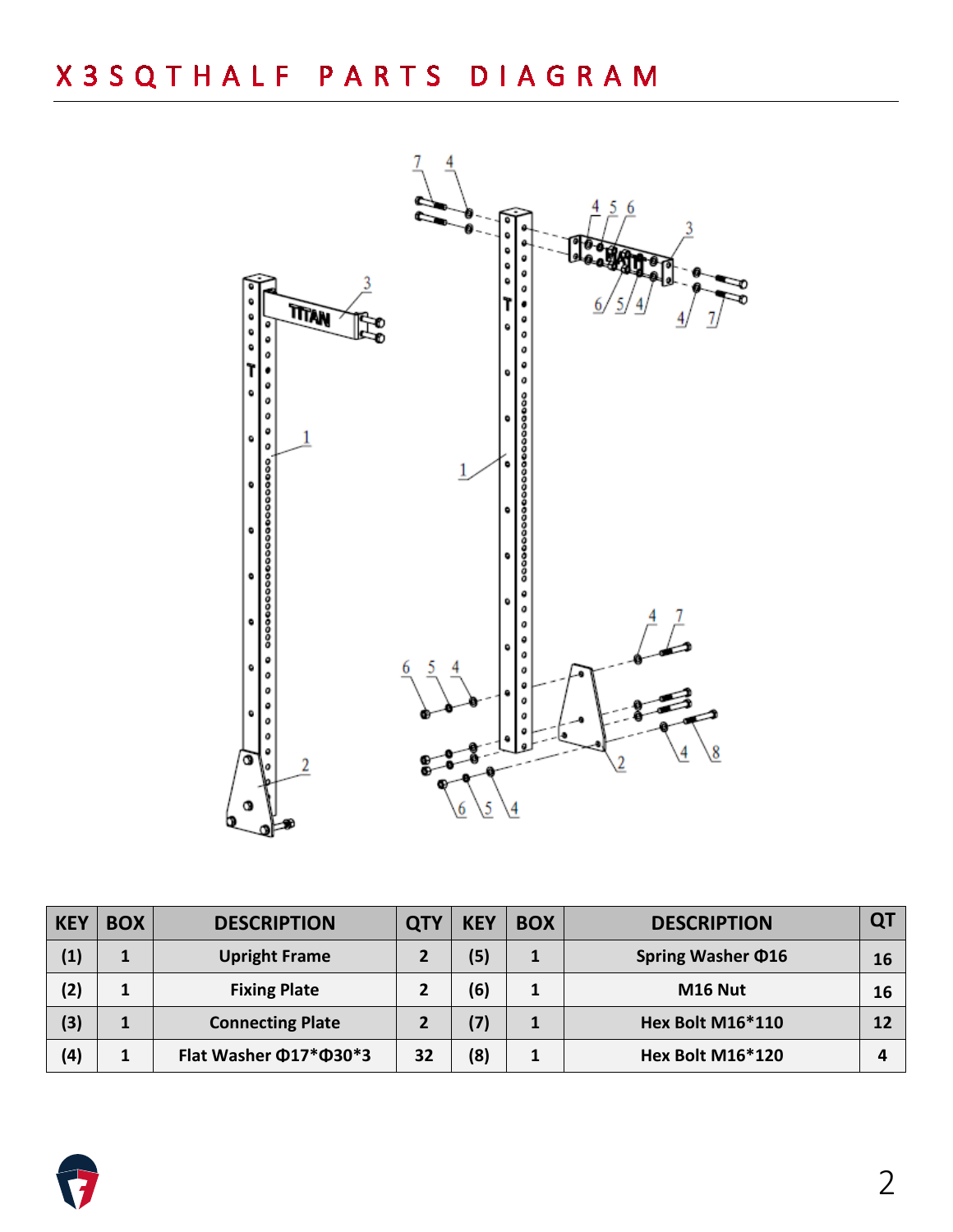

| <b>KEY</b> | <b>BOX</b> | <b>DESCRIPTION</b>                 | <b>QT</b> | <b>KEY</b> | <b>BOX</b>   | <b>DESCRIPTION</b>      | QT |
|------------|------------|------------------------------------|-----------|------------|--------------|-------------------------|----|
| (1)        |            | <b>Upright Frame</b>               |           | (5)        | $\mathbf{1}$ | Spring Washer $\Phi$ 16 | 16 |
| (2)        | 1          | <b>Fixing Plate</b>                |           | (6)        | 1            | M16 Nut                 | 16 |
| (3)        |            | <b>Connecting Plate</b>            |           | (7)        | 1            | Hex Bolt M16*110        | 12 |
| (4)        | 1          | Flat Washer $\Phi$ 17* $\Phi$ 30*3 | 32        | (8)        | 1            | <b>Hex Bolt M16*120</b> | 4  |

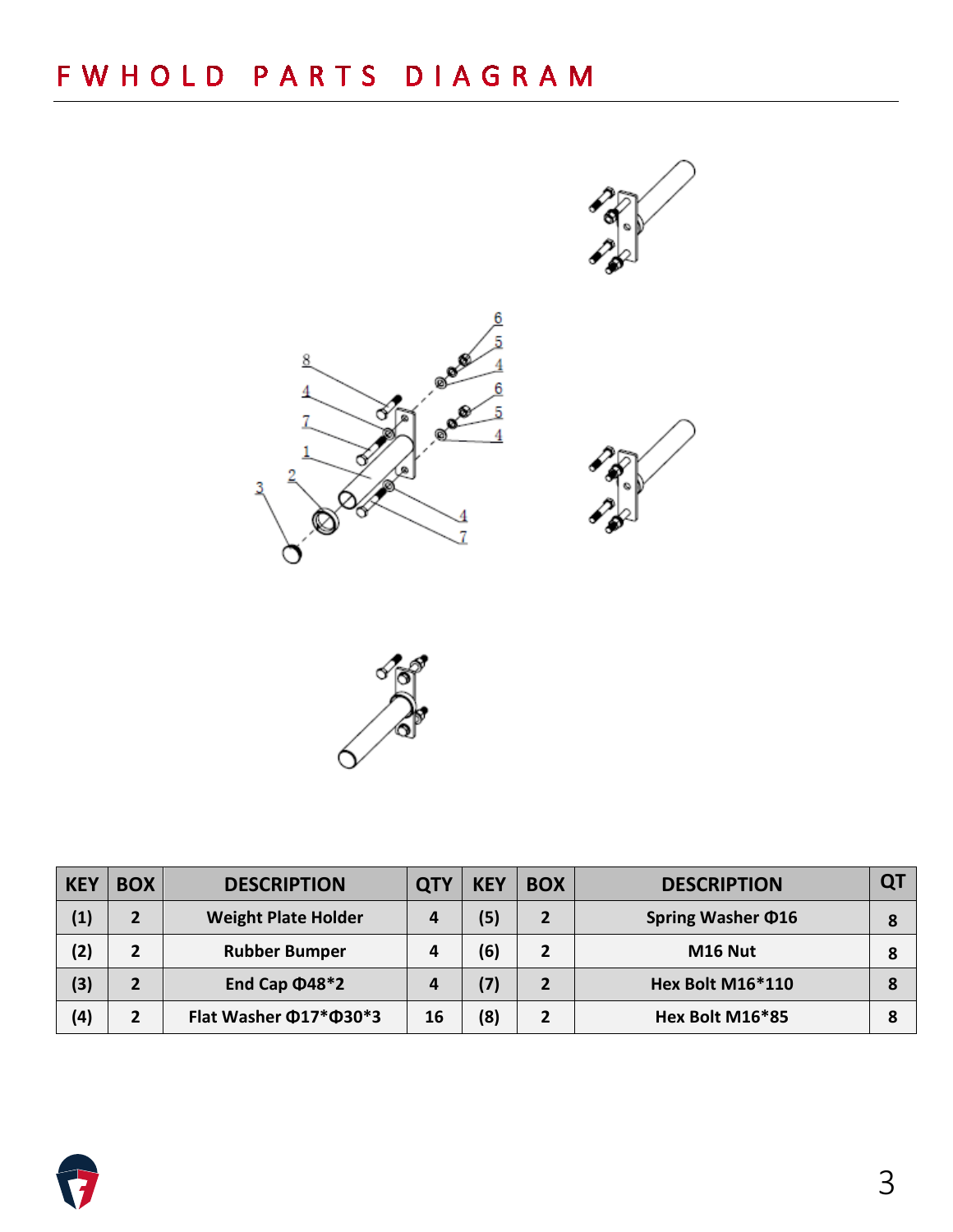



| <b>KEY</b> | <b>BOX</b>     | <b>DESCRIPTION</b>         | <b>QTY</b> | <b>KEY</b> | <b>BOX</b>     | <b>DESCRIPTION</b>      |  |
|------------|----------------|----------------------------|------------|------------|----------------|-------------------------|--|
| (1)        | $\overline{2}$ | <b>Weight Plate Holder</b> | 4          | (5)        | $\overline{2}$ | Spring Washer $\Phi$ 16 |  |
| (2)        | $\overline{2}$ | <b>Rubber Bumper</b>       | 4          | (6)        | $\overline{2}$ | M <sub>16</sub> Nut     |  |
| (3)        | $\overline{2}$ | End Cap $\Phi$ 48*2        | 4          | (7)        | $\overline{2}$ | Hex Bolt M16*110        |  |
| (4)        | $\mathbf{2}$   | Flat Washer Ф17*Ф30*3      | 16         | (8)        | 2              | Hex Bolt M16*85         |  |

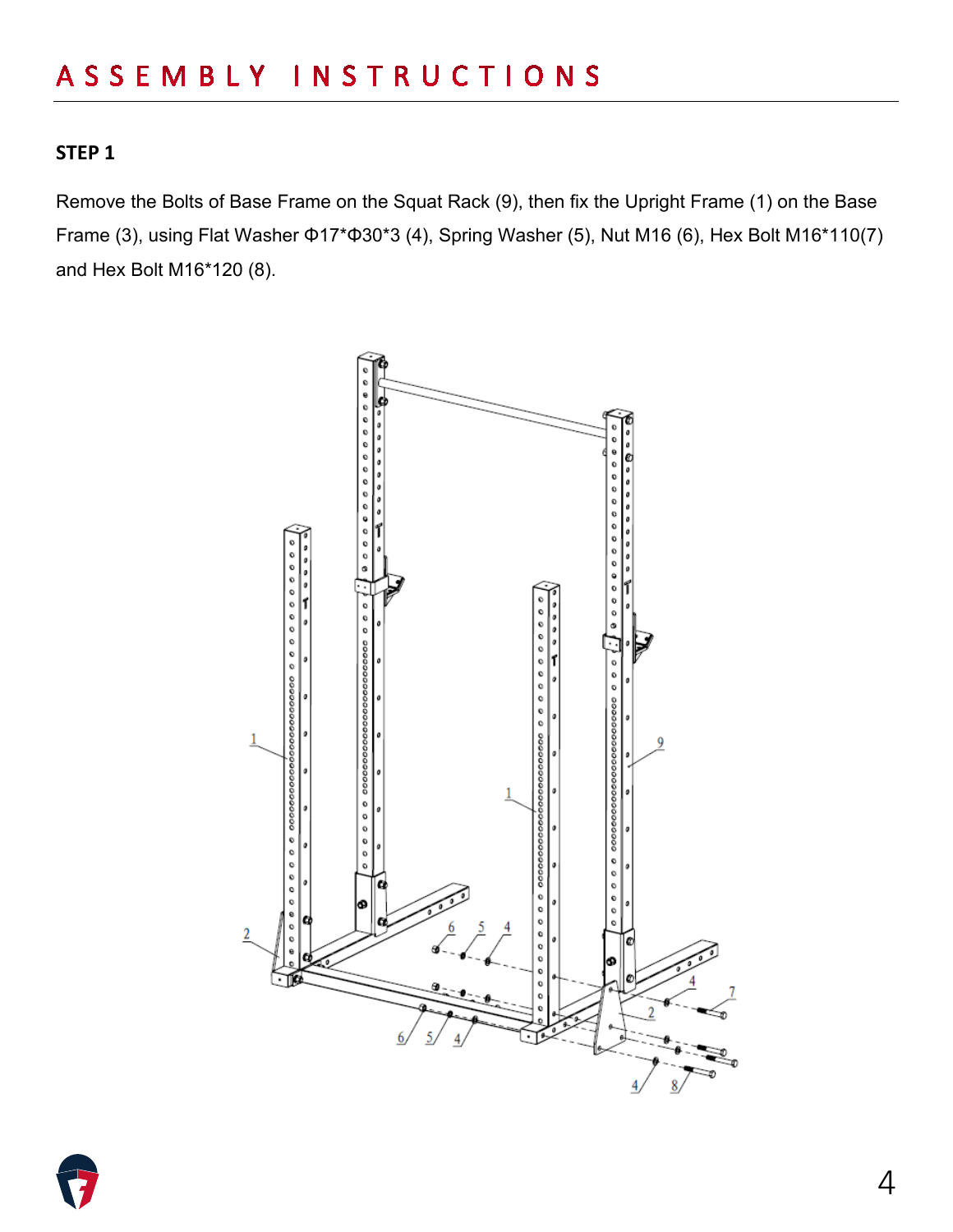#### **STEP 1**

Remove the Bolts of Base Frame on the Squat Rack (9), then fix the Upright Frame (1) on the Base Frame (3), using Flat Washer Φ17\*Φ30\*3 (4), Spring Washer (5), Nut M16 (6), Hex Bolt M16\*110(7) and Hex Bolt M16\*120 (8).



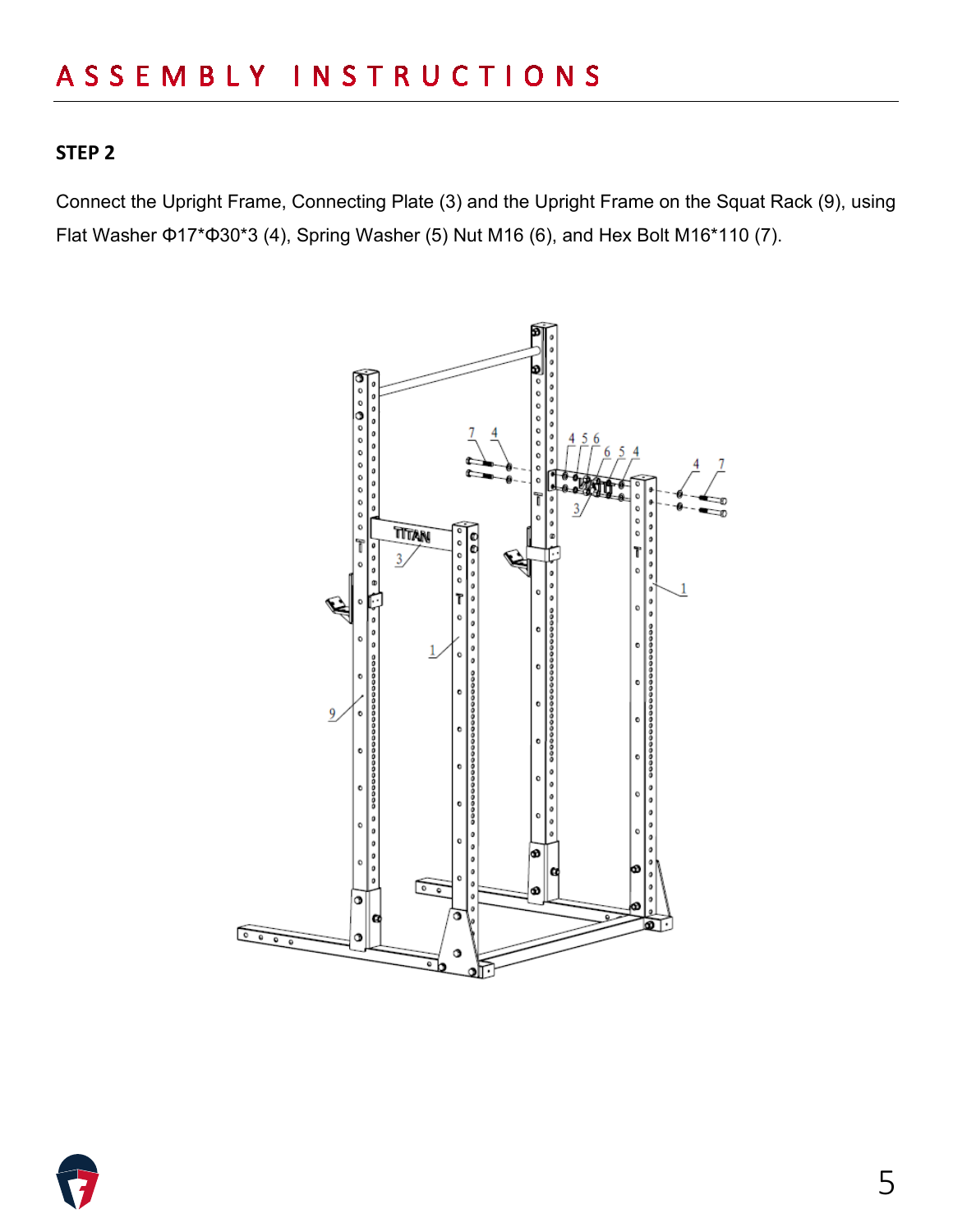#### **STEP 2**

Connect the Upright Frame, Connecting Plate (3) and the Upright Frame on the Squat Rack (9), using Flat Washer Φ17\*Φ30\*3 (4), Spring Washer (5) Nut M16 (6), and Hex Bolt M16\*110 (7).



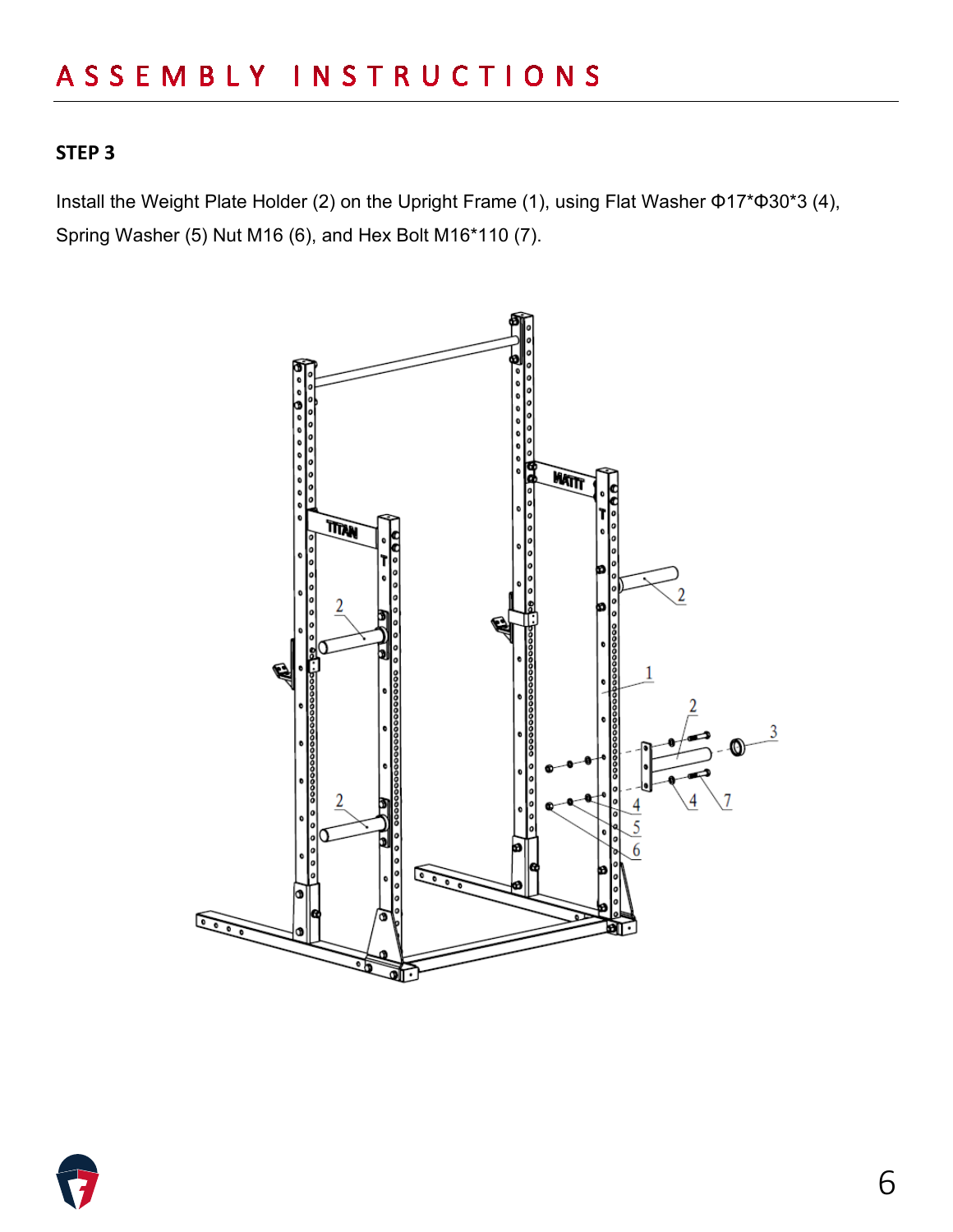### **STEP 3**

Install the Weight Plate Holder (2) on the Upright Frame (1), using Flat Washer Φ17\*Φ30\*3 (4), Spring Washer (5) Nut M16 (6), and Hex Bolt M16\*110 (7).